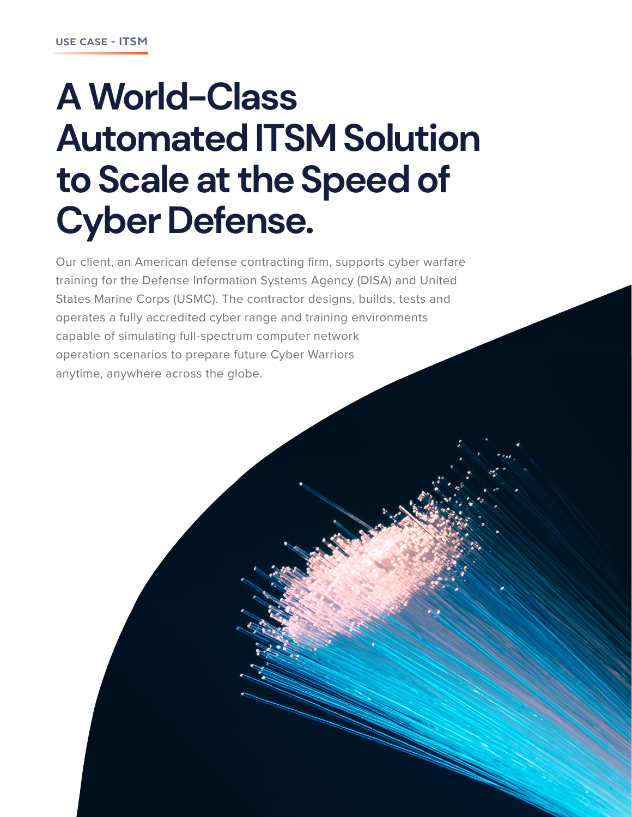# **A World-Class Automated ITSM Solution to Scale at the Speed of Cyber Defense.**

Our client, an American defense contracting firm, supports cyber warfare training for the Defense Information Systems Agency (DISA) and United States Marine Corps (USMC). The contractor designs, builds, tests and operates a fully accredited cyber range and training environments capable of simulating full-spectrum computer network operation scenarios to prepare future Cyber Warriors anytime, anywhere across the globe.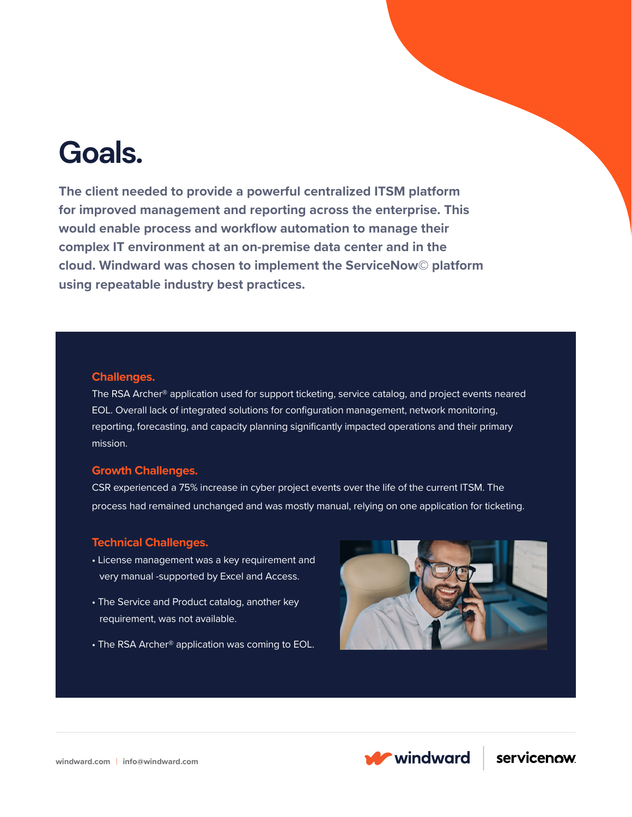## **Goals.**

**The client needed to provide a powerful centralized ITSM platform for improved management and reporting across the enterprise. This would enable process and workflow automation to manage their complex IT environment at an on-premise data center and in the cloud. Windward was chosen to implement the ServiceNow© platform using repeatable industry best practices.** 

#### **Challenges.**

The RSA Archer<sup>®</sup> application used for support ticketing, service catalog, and project events neared EOL. Overall lack of integrated solutions for configuration management, network monitoring, reporting, forecasting, and capacity planning significantly impacted operations and their primary mission.

#### **Growth Challenges.**

CSR experienced a 75% increase in cyber project events over the life of the current ITSM. The process had remained unchanged and was mostly manual, relying on one application for ticketing.

#### **Technical Challenges.**

- License management was a key requirement and very manual -supported by Excel and Access.
- The Service and Product catalog, another key requirement, was not available.
- The RSA Archer<sup>®</sup> application was coming to EOL.



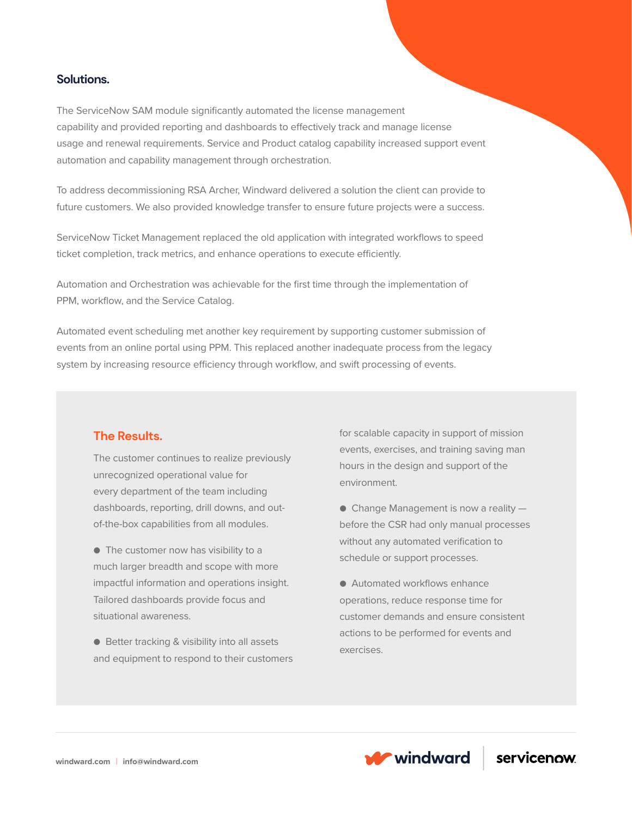### **Solutions.**

The ServiceNow SAM module significantly automated the license management capability and provided reporting and dashboards to effectively track and manage license usage and renewal requirements. Service and Product catalog capability increased support event automation and capability management through orchestration.

To address decommissioning RSA Archer, Windward delivered a solution the client can provide to future customers. We also provided knowledge transfer to ensure future projects were a success.

ServiceNow Ticket Management replaced the old application with integrated workflows to speed ticket completion, track metrics, and enhance operations to execute efficiently.

Automation and Orchestration was achievable for the first time through the implementation of PPM, workflow, and the Service Catalog.

Automated event scheduling met another key requirement by supporting customer submission of events from an online portal using PPM. This replaced another inadequate process from the legacy system by increasing resource efficiency through workflow, and swift processing of events.

### **The Results.**

The customer continues to realize previously unrecognized operational value for every department of the team including dashboards, reporting, drill downs, and outof-the-box capabilities from all modules.

● The customer now has visibility to a much larger breadth and scope with more impactful information and operations insight. Tailored dashboards provide focus and situational awareness.

● Better tracking & visibility into all assets and equipment to respond to their customers for scalable capacity in support of mission events, exercises, and training saving man hours in the design and support of the environment.

 $\bullet$  Change Management is now a reality  $$ before the CSR had only manual processes without any automated verification to schedule or support processes.

● Automated workflows enhance operations, reduce response time for customer demands and ensure consistent actions to be performed for events and exercises.



servicenow